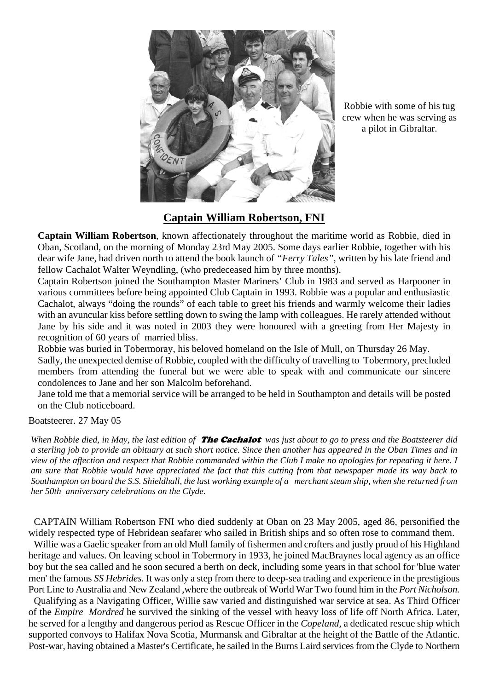

Robbie with some of his tug crew when he was serving as a pilot in Gibraltar.

# **Captain William Robertson, FNI**

**Captain William Robertson**, known affectionately throughout the maritime world as Robbie, died in Oban, Scotland, on the morning of Monday 23rd May 2005. Some days earlier Robbie, together with his dear wife Jane, had driven north to attend the book launch of *"Ferry Tales",* written by his late friend and fellow Cachalot Walter Weyndling, (who predeceased him by three months).

Captain Robertson joined the Southampton Master Mariners' Club in 1983 and served as Harpooner in various committees before being appointed Club Captain in 1993. Robbie was a popular and enthusiastic Cachalot, always "doing the rounds" of each table to greet his friends and warmly welcome their ladies with an avuncular kiss before settling down to swing the lamp with colleagues. He rarely attended without Jane by his side and it was noted in 2003 they were honoured with a greeting from Her Majesty in recognition of 60 years of married bliss.

Robbie was buried in Tobermoray, his beloved homeland on the Isle of Mull, on Thursday 26 May. Sadly, the unexpected demise of Robbie, coupled with the difficulty of travelling to Tobermory, precluded members from attending the funeral but we were able to speak with and communicate our sincere condolences to Jane and her son Malcolm beforehand.

Jane told me that a memorial service will be arranged to be held in Southampton and details will be posted on the Club noticeboard.

## Boatsteerer. 27 May 05

*When Robbie died, in May, the last edition of* The Cachalot *was just about to go to press and the Boatsteerer did a sterling job to provide an obituary at such short notice. Since then another has appeared in the Oban Times and in view of the affection and respect that Robbie commanded within the Club I make no apologies for repeating it here. I am sure that Robbie would have appreciated the fact that this cutting from that newspaper made its way back to Southampton on board the S.S. Shieldhall, the last working example of a merchant steam ship, when she returned from her 50th anniversary celebrations on the Clyde.*

CAPTAIN William Robertson FNI who died suddenly at Oban on 23 May 2005, aged 86, personified the widely respected type of Hebridean seafarer who sailed in British ships and so often rose to command them.

Willie was a Gaelic speaker from an old Mull family of fishermen and crofters and justly proud of his Highland heritage and values. On leaving school in Tobermory in 1933, he joined MacBraynes local agency as an office boy but the sea called and he soon secured a berth on deck, including some years in that school for 'blue water men' the famous *SS Hebrides.* It was only a step from there to deep-sea trading and experience in the prestigious Port Line to Australia and New Zealand ,where the outbreak of World War Two found him in the *Port Nicholson.*

Qualifying as a Navigating Officer, Willie saw varied and distinguished war service at sea. As Third Officer of the *Empire Mordred* he survived the sinking of the vessel with heavy loss of life off North Africa. Later, he served for a lengthy and dangerous period as Rescue Officer in the *Copeland,* a dedicated rescue ship which supported convoys to Halifax Nova Scotia, Murmansk and Gibraltar at the height of the Battle of the Atlantic. Post-war, having obtained a Master's Certificate, he sailed in the Burns Laird services from the Clyde to Northern